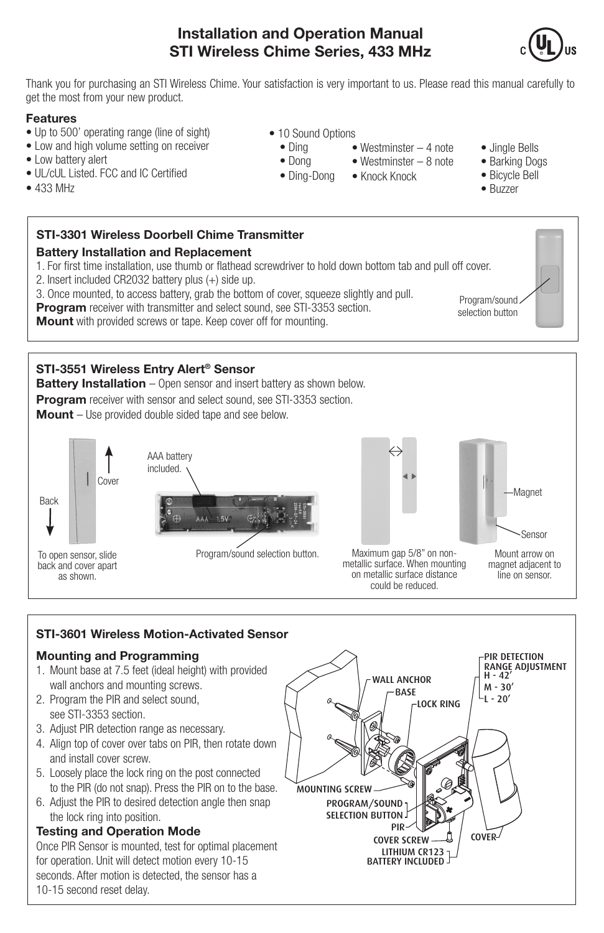## **Installation and Operation Manual STI Wireless Chime Series, 433 MHz**



Thank you for purchasing an STI Wireless Chime. Your satisfaction is very important to us. Please read this manual carefully to get the most from your new product.

> • 10 Sound Options • Ding • Dong • Ding-Dong

### **Features**

- Up to 500' operating range (line of sight)
- Low and high volume setting on receiver
- Low battery alert
- UL/cUL Listed. FCC and IC Certified
- 433 MHz

## **STI-3301 Wireless Doorbell Chime Transmitter**

## **Battery Installation and Replacement**

1. For first time installation, use thumb or flathead screwdriver to hold down bottom tab and pull off cover.

- 2. Insert included CR2032 battery plus (+) side up.
- 3. Once mounted, to access battery, grab the bottom of cover, squeeze slightly and pull.
- **Program** receiver with transmitter and select sound, see STI-3353 section.

**Mount** with provided screws or tape. Keep cover off for mounting.

## **STI-3551 Wireless Entry Alert® Sensor**

**Battery Installation** – Open sensor and insert battery as shown below. **Program** receiver with sensor and select sound, see STI-3353 section. **Mount** – Use provided double sided tape and see below.





Program/sound selection button.



• Westminster – 4 note

• Knock Knock

Mount arrow on Sensor Magnet

Maximum gap 5/8" on nonmetallic surface. When mounting on metallic surface distance could be reduced.

magnet adjacent to line on sensor.

## **STI-3601 Wireless Motion-Activated Sensor**

### **Mounting and Programming**

- 1. Mount base at 7.5 feet (ideal height) with provided wall anchors and mounting screws.
- 2. Program the PIR and select sound, see STI-3353 section.
- 3. Adjust PIR detection range as necessary.
- 4. Align top of cover over tabs on PIR, then rotate down and install cover screw.
- 5. Loosely place the lock ring on the post connected to the PIR (do not snap). Press the PIR on to the base.
- 6. Adjust the PIR to desired detection angle then snap the lock ring into position.

## **Testing and Operation Mode**

Once PIR Sensor is mounted, test for optimal placement for operation. Unit will detect motion every 10-15 seconds. After motion is detected, the sensor has a 10-15 second reset delay.



- Jingle Bells
- Barking Dogs
- Bicycle Bell • Westminster – 8 note
	- Buzzer

Program/sound selection button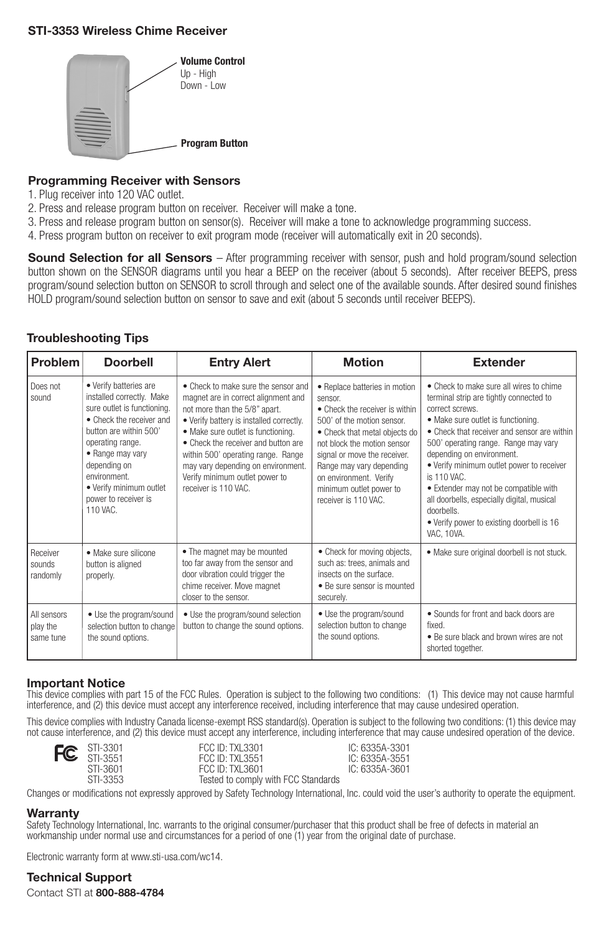#### **STI-3353 Wireless Chime Receiver**



#### **Programming Receiver with Sensors**

- 1. Plug receiver into 120 VAC outlet.
- 2. Press and release program button on receiver. Receiver will make a tone.
- 3. Press and release program button on sensor(s). Receiver will make a tone to acknowledge programming success.
- 4. Press program button on receiver to exit program mode (receiver will automatically exit in 20 seconds).

**Sound Selection for all Sensors** – After programming receiver with sensor, push and hold program/sound selection button shown on the SENSOR diagrams until you hear a BEEP on the receiver (about 5 seconds). After receiver BEEPS, press program/sound selection button on SENSOR to scroll through and select one of the available sounds. After desired sound finishes HOLD program/sound selection button on sensor to save and exit (about 5 seconds until receiver BEEPS).

### **Troubleshooting Tips**

| Problem                              | <b>Doorbell</b>                                                                                                                                                                                                                                                                 | <b>Entry Alert</b>                                                                                                                                                                                                                                                                                                                                                         | <b>Motion</b>                                                                                                                                                                                                                                                                                                    | <b>Extender</b>                                                                                                                                                                                                                                                                                                                                                                                                                                                                          |
|--------------------------------------|---------------------------------------------------------------------------------------------------------------------------------------------------------------------------------------------------------------------------------------------------------------------------------|----------------------------------------------------------------------------------------------------------------------------------------------------------------------------------------------------------------------------------------------------------------------------------------------------------------------------------------------------------------------------|------------------------------------------------------------------------------------------------------------------------------------------------------------------------------------------------------------------------------------------------------------------------------------------------------------------|------------------------------------------------------------------------------------------------------------------------------------------------------------------------------------------------------------------------------------------------------------------------------------------------------------------------------------------------------------------------------------------------------------------------------------------------------------------------------------------|
| Does not<br>sound                    | • Verify batteries are<br>installed correctly. Make<br>sure outlet is functioning.<br>• Check the receiver and<br>button are within 500'<br>operating range.<br>• Range may vary<br>depending on<br>environment.<br>• Verify minimum outlet<br>power to receiver is<br>110 VAC. | • Check to make sure the sensor and<br>magnet are in correct alignment and<br>not more than the 5/8" apart.<br>. Verify battery is installed correctly.<br>• Make sure outlet is functioning.<br>• Check the receiver and button are<br>within 500' operating range. Range<br>may vary depending on environment.<br>Verify minimum outlet power to<br>receiver is 110 VAC. | • Replace batteries in motion<br>sensor.<br>• Check the receiver is within<br>500' of the motion sensor.<br>• Check that metal objects do<br>not block the motion sensor<br>signal or move the receiver.<br>Range may vary depending<br>on environment. Verify<br>minimum outlet power to<br>receiver is 110 VAC | • Check to make sure all wires to chime<br>terminal strip are tightly connected to<br>correct screws<br>• Make sure outlet is functioning.<br>• Check that receiver and sensor are within<br>500' operating range. Range may vary<br>depending on environment.<br>. Verify minimum outlet power to receiver<br>is 110 VAC<br>• Extender may not be compatible with<br>all doorbells, especially digital, musical<br>doorhells<br>. Verify power to existing doorbell is 16<br>VAC. 10VA. |
| Receiver<br>sounds<br>randomly       | · Make sure silicone<br>button is aligned<br>properly.                                                                                                                                                                                                                          | • The magnet may be mounted<br>too far away from the sensor and<br>door vibration could trigger the<br>chime receiver. Move magnet<br>closer to the sensor.                                                                                                                                                                                                                | • Check for moving objects,<br>such as: trees, animals and<br>insects on the surface.<br>• Be sure sensor is mounted<br>securely.                                                                                                                                                                                | · Make sure original doorbell is not stuck.                                                                                                                                                                                                                                                                                                                                                                                                                                              |
| All sensors<br>play the<br>same tune | • Use the program/sound<br>selection button to change<br>the sound options.                                                                                                                                                                                                     | • Use the program/sound selection<br>button to change the sound options.                                                                                                                                                                                                                                                                                                   | • Use the program/sound<br>selection button to change<br>the sound options.                                                                                                                                                                                                                                      | • Sounds for front and back doors are<br>fixed.<br>• Be sure black and brown wires are not<br>shorted together.                                                                                                                                                                                                                                                                                                                                                                          |

#### **Important Notice**

This device complies with part 15 of the FCC Rules. Operation is subject to the following two conditions: (1) This device may not cause harmful interference, and (2) this device must accept any interference received, including interference that may cause undesired operation.

This device complies with Industry Canada license-exempt RSS standard(s). Operation is subject to the following two conditions: (1) this device may not cause interference, and (2) this device must accept any interference, including interference that may cause undesired operation of the device.





STI-3301 FCC ID: TXL3301 IC: 6335A-3301<br>STI-3551 FCC ID: TXL3551 IC: 6335A-3551 STI-3551 FCC ID: TXL3551 FCC ID: 6335A-3551<br>STI-3601 FCC ID: TXL3601 FCC ID: 6335A-3601

Tested to comply with FCC Standards

Changes or modifications not expressly approved by Safety Technology International, Inc. could void the user's authority to operate the equipment.

#### **Warranty**

Safety Technology International, Inc. warrants to the original consumer/purchaser that this product shall be free of defects in material an workmanship under normal use and circumstances for a period of one (1) year from the original date of purchase.

Electronic warranty form at www.sti-usa.com/wc14.

**Technical Support**

Contact STI at **800-888-4784**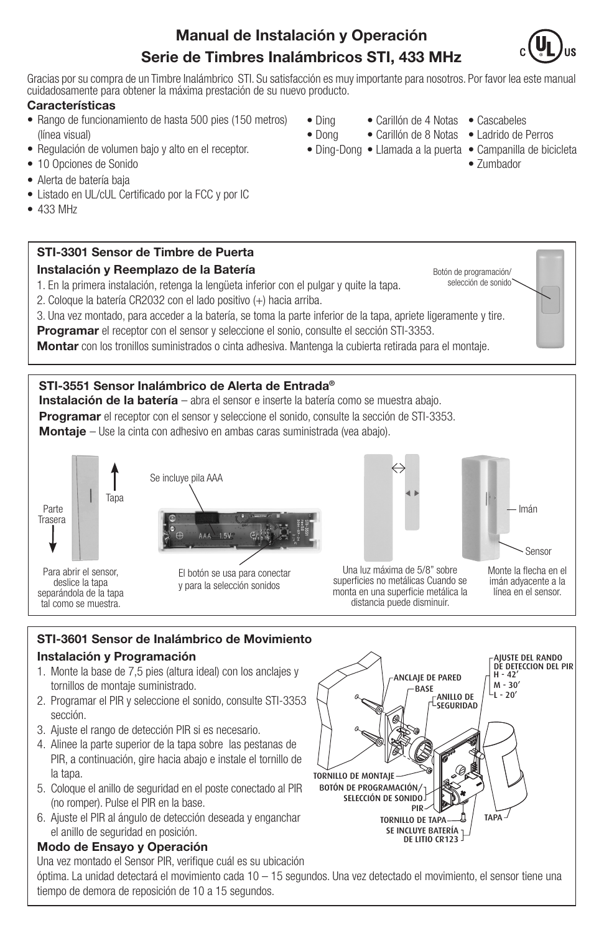# **Manual de Instalación y Operación Serie de Timbres Inalámbricos STI, 433 MHz**



Gracias por su compra de un Timbre Inalámbrico STI. Su satisfacción es muy importante para nosotros. Por favor lea este manual cuidadosamente para obtener la máxima prestación de su nuevo producto.

> • Ding • Dong

### **Características**

- Rango de funcionamiento de hasta 500 pies (150 metros) (línea visual)
- Regulación de volumen bajo y alto en el receptor.
- 10 Opciones de Sonido
- Alerta de batería baja
- Listado en UL/cUL Certificado por la FCC y por IC
- 433 MHz

## **STI-3301 Sensor de Timbre de Puerta Instalación y Reemplazo de la Batería**

1. En la primera instalación, retenga la lengüeta inferior con el pulgar y quite la tapa.

- 2. Coloque la batería CR2032 con el lado positivo (+) hacia arriba.
- 3. Una vez montado, para acceder a la batería, se toma la parte inferior de la tapa, apriete ligeramente y tire.

**Programar** el receptor con el sensor y seleccione el sonio, consulte el sección STI-3353.

**Montar** con los tronillos suministrados o cinta adhesiva. Mantenga la cubierta retirada para el montaje.

## **STI-3551 Sensor Inalámbrico de Alerta de Entrada®**

Se incluye pila AAA

**Instalación de la batería** – abra el sensor e inserte la batería como se muestra abajo. **Programar** el receptor con el sensor y seleccione el sonido, consulte la sección de STI-3353. **Montaje** – Use la cinta con adhesivo en ambas caras suministrada (vea abajo).





El botón se usa para conectar y para la selección sonidos



Sensor Imán

Una luz máxima de 5/8" sobre superficies no metálicas Cuando se monta en una superficie metálica la distancia puede disminuir.

Monte la flecha en el imán adyacente a la línea en el sensor.

## **STI-3601 Sensor de Inalámbrico de Movimiento Instalación y Programación**

- 1. Monte la base de 7,5 pies (altura ideal) con los anclajes y tornillos de montaje suministrado.
- 2. Programar el PIR y seleccione el sonido, consulte STI-3353 sección.
- 3. Ajuste el rango de detección PIR si es necesario.
- 4. Alinee la parte superior de la tapa sobre las pestanas de PIR, a continuación, gire hacia abajo e instale el tornillo de la tapa.
- 5. Coloque el anillo de seguridad en el poste conectado al PIR (no romper). Pulse el PIR en la base.
- 6. Ajuste el PIR al ángulo de detección deseada y enganchar el anillo de seguridad en posición.

## **Modo de Ensayo y Operación**

Una vez montado el Sensor PIR, verifique cuál es su ubicación óptima. La unidad detectará el movimiento cada 10 – 15 segundos. Una vez detectado el movimiento, el sensor tiene una tiempo de demora de reposición de 10 a 15 segundos.

AJUSTE DEL RANDO DE DETECCION DEL PIR  $H - 42'$ M - 30' -ANILLO DE  $\vert$   $-$ L - 20 $^{\prime}$ SEGURIDAD **BASE** ANCLAJE DE PARED TORNILLO DE MONTAJE BOTÓN DE PROGRAMACIÓN/ SELECCIÓN DE SONIDO PIR TORNILLO DE TAPA TAPA SE INCLUYE BATERÍA DE LITIO CR123

- - Carillón de 4 Notas Cascabeles
	- Carillón de 8 Notas Ladrido de Perros
- Ding-Dong Llamada a la puerta Campanilla de bicicleta
- 
- - Zumbador

Botón de programación/ selección de sonido<sup>-</sup>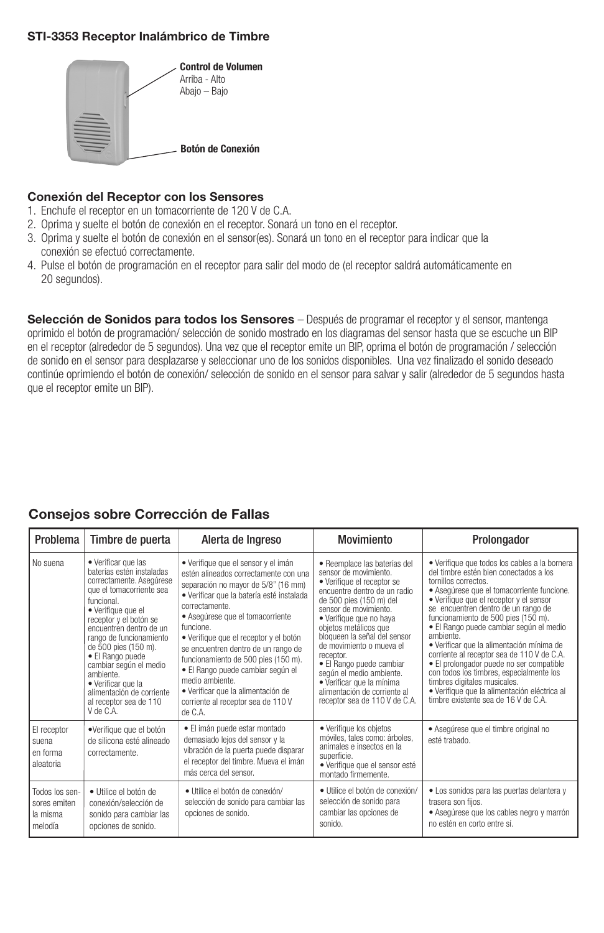#### **STI-3353 Receptor Inalámbrico de Timbre**



#### **Conexión del Receptor con los Sensores**

- 1. Enchufe el receptor en un tomacorriente de 120 V de C.A.
- 2. Oprima y suelte el botón de conexión en el receptor. Sonará un tono en el receptor.
- 3. Oprima y suelte el botón de conexión en el sensor(es). Sonará un tono en el receptor para indicar que la conexión se efectuó correctamente.
- 4. Pulse el botón de programación en el receptor para salir del modo de (el receptor saldrá automáticamente en 20 segundos).

**Selección de Sonidos para todos los Sensores** – Después de programar el receptor y el sensor, mantenga oprimido el botón de programación/ selección de sonido mostrado en los diagramas del sensor hasta que se escuche un BIP en el receptor (alrededor de 5 segundos). Una vez que el receptor emite un BIP, oprima el botón de programación / selección de sonido en el sensor para desplazarse y seleccionar uno de los sonidos disponibles. Una vez finalizado el sonido deseado continúe oprimiendo el botón de conexión/ selección de sonido en el sensor para salvar y salir (alrededor de 5 segundos hasta que el receptor emite un BIP).

## **Consejos sobre Corrección de Fallas**

| Problema                                              | Timbre de puerta                                                                                                                                                                                                                                                                                                                                                                                          | Alerta de Ingreso                                                                                                                                                                                                                                                                                                                                                                                                                                                                                          | Movimiento                                                                                                                                                                                                                                                                                                                                                                                                                                                 | Prolongador                                                                                                                                                                                                                                                                                                                                                                                                                                                                                                                                                                                                                                               |
|-------------------------------------------------------|-----------------------------------------------------------------------------------------------------------------------------------------------------------------------------------------------------------------------------------------------------------------------------------------------------------------------------------------------------------------------------------------------------------|------------------------------------------------------------------------------------------------------------------------------------------------------------------------------------------------------------------------------------------------------------------------------------------------------------------------------------------------------------------------------------------------------------------------------------------------------------------------------------------------------------|------------------------------------------------------------------------------------------------------------------------------------------------------------------------------------------------------------------------------------------------------------------------------------------------------------------------------------------------------------------------------------------------------------------------------------------------------------|-----------------------------------------------------------------------------------------------------------------------------------------------------------------------------------------------------------------------------------------------------------------------------------------------------------------------------------------------------------------------------------------------------------------------------------------------------------------------------------------------------------------------------------------------------------------------------------------------------------------------------------------------------------|
| No suena                                              | • Verificar que las<br>baterías estén instaladas<br>correctamente. Asequrese<br>que el tomacorriente sea<br>funcional.<br>· Verifique que el<br>receptor y el botón se<br>encuentren dentro de un<br>rango de funcionamiento<br>de 500 pies (150 m).<br>• El Rango puede<br>cambiar según el medio<br>ambiente.<br>• Verificar que la<br>alimentación de corriente<br>al receptor sea de 110<br>V de C.A. | · Verifique que el sensor y el imán<br>estén alineados correctamente con una<br>separación no mayor de 5/8" (16 mm)<br>· Verificar que la batería esté instalada<br>correctamente.<br>· Aseqúrese que el tomacorriente<br>funcione.<br>· Verifique que el receptor y el botón<br>se encuentren dentro de un rango de<br>funcionamiento de 500 pies (150 m).<br>· El Rango puede cambiar según el<br>medio ambiente.<br>· Verificar que la alimentación de<br>corriente al receptor sea de 110 V<br>de C.A. | • Reemplace las baterías del<br>sensor de movimiento.<br>• Verifique el receptor se<br>encuentre dentro de un radio<br>de 500 pies (150 m) del<br>sensor de movimiento.<br>• Verifique que no haya<br>objetos metálicos que<br>bloqueen la señal del sensor<br>de movimiento o mueva el<br>receptor.<br>• El Rango puede cambiar<br>según el medio ambiente.<br>· Verificar que la mínima<br>alimentación de corriente al<br>receptor sea de 110 V de C.A. | • Verifique que todos los cables a la bornera<br>del timbre estén bien conectados a los<br>tornillos correctos.<br>· Aseqúrese que el tomacorriente funcione.<br>• Verifique que el receptor y el sensor<br>se encuentren dentro de un rango de<br>funcionamiento de 500 pies (150 m).<br>· El Rango puede cambiar según el medio<br>ambiente.<br>· Verificar que la alimentación mínima de<br>corriente al receptor sea de 110 V de C.A.<br>• El prolongador puede no ser compatible<br>con todos los timbres, especialmente los<br>timbres digitales musicales.<br>· Verifique que la alimentación eléctrica al<br>timbre existente sea de 16 V de C.A. |
| El receptor<br>suena<br>en forma<br>aleatoria         | ·Verifique que el botón<br>de silicona esté alineado<br>correctamente.                                                                                                                                                                                                                                                                                                                                    | • El imán puede estar montado<br>demasiado lejos del sensor y la<br>vibración de la puerta puede disparar<br>el receptor del timbre. Mueva el imán<br>más cerca del sensor.                                                                                                                                                                                                                                                                                                                                | • Verifique los objetos<br>móviles, tales como: árboles,<br>animales e insectos en la<br>superficie.<br>· Verifique que el sensor esté<br>montado firmemente.                                                                                                                                                                                                                                                                                              | · Asegúrese que el timbre original no<br>esté trabado.                                                                                                                                                                                                                                                                                                                                                                                                                                                                                                                                                                                                    |
| Todos los sen-<br>sores emiten<br>la misma<br>melodía | · Utilice el botón de<br>conexión/selección de<br>sonido para cambiar las<br>opciones de sonido.                                                                                                                                                                                                                                                                                                          | · Utilice el botón de conexión/<br>selección de sonido para cambiar las<br>opciones de sonido.                                                                                                                                                                                                                                                                                                                                                                                                             | · Utilice el botón de conexión/<br>selección de sonido para<br>cambiar las opciones de<br>sonido.                                                                                                                                                                                                                                                                                                                                                          | • Los sonidos para las puertas delantera y<br>trasera son fiios.<br>· Aseqúrese que los cables negro y marrón<br>no estén en corto entre sí.                                                                                                                                                                                                                                                                                                                                                                                                                                                                                                              |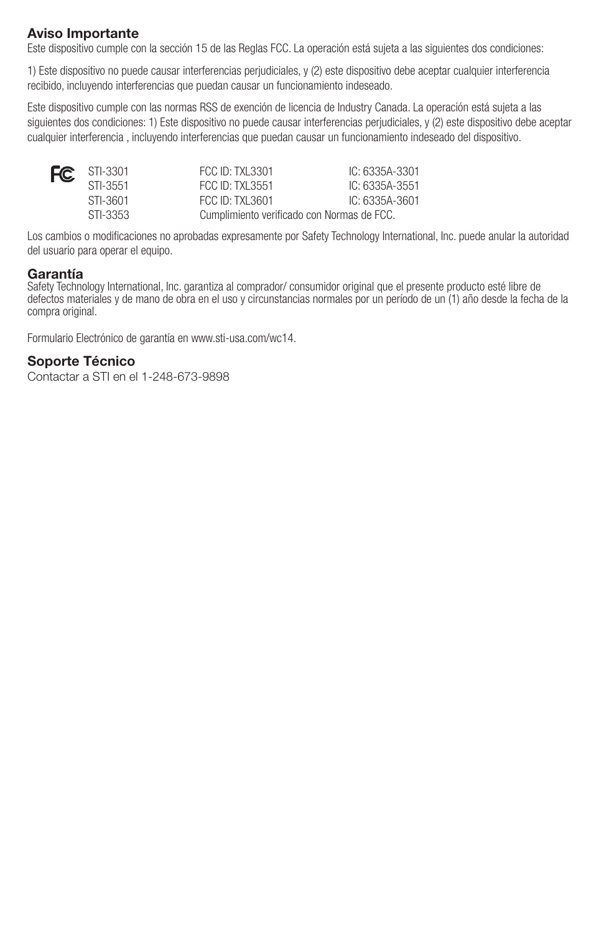## **Aviso Importante**

Este dispositivo cumple con la sección 15 de las Reglas FCC. La operación está sujeta a las siguientes dos condiciones:

1) Este dispositivo no puede causar interferencias perjudiciales, y (2) este dispositivo debe aceptar cualquier interferencia recibido, incluyendo interferencias que puedan causar un funcionamiento indeseado.

Este dispositivo cumple con las normas RSS de exención de licencia de Industry Canada. La operación está sujeta a las siguientes dos condiciones: 1) Este dispositivo no puede causar interferencias perjudiciales, y (2) este dispositivo debe aceptar cualquier interferencia , incluyendo interferencias que puedan causar un funcionamiento indeseado del dispositivo.

| $FC$ STI-3301 | FCC ID: TXL3301                            | IC: 6335A-3301 |
|---------------|--------------------------------------------|----------------|
| STI-3551      | <b>FCC ID: TXL3551</b>                     | IC: 6335A-3551 |
| STI-3601      | $FCC$ , ID: TXI 3601                       | IC: 6335A-3601 |
| STI-3353      | Cumplimiento verificado con Normas de FCC. |                |

Los cambios o modificaciones no aprobadas expresamente por Safety Technology International, Inc. puede anular la autoridad del usuario para operar el equipo.

### **Garantía**

Safety Technology International, Inc. garantiza al comprador/ consumidor original que el presente producto esté libre de defectos materiales y de mano de obra en el uso y circunstancias normales por un período de un (1) año desde la fecha de la compra original.

Formulario Electrónico de garantía en www.sti-usa.com/wc14.

## **Soporte Técnico**

Contactar a STI en el 1-248-673-9898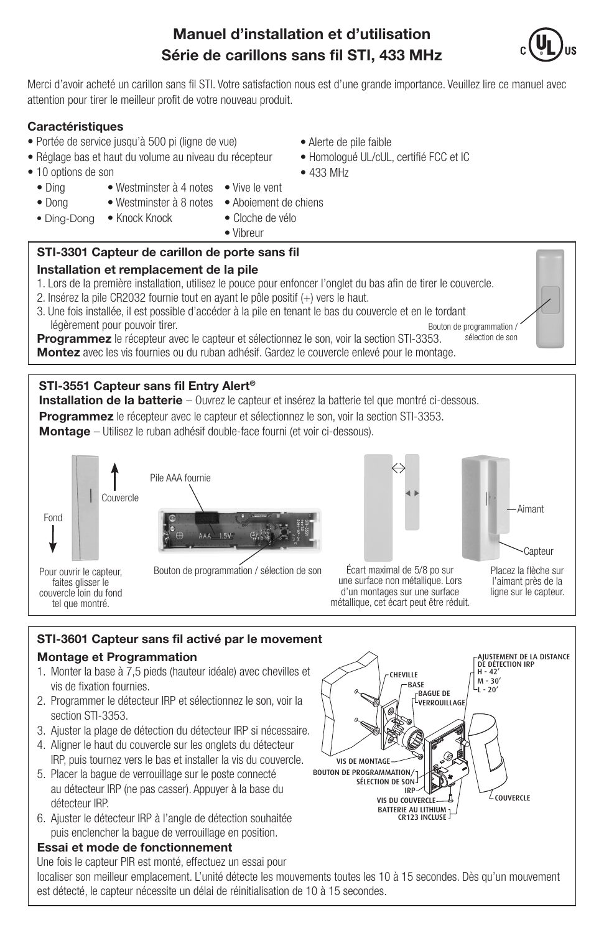# **Manuel d'installation et d'utilisation Série de carillons sans fil STI, 433 MHz**

Merci d'avoir acheté un carillon sans fil STI. Votre satisfaction nous est d'une grande importance. Veuillez lire ce manuel avec attention pour tirer le meilleur profit de votre nouveau produit.

## **Caractéristiques**

- Portée de service jusqu'à 500 pi (ligne de vue)
- Réglage bas et haut du volume au niveau du récepteur
- 10 options de son
	- Vive le vent • Westminster à 4 notes
	- Ding • Dong
- Westminster à 8 notes
- Aboiement de chiens • Cloche de vélo
- Ding-Dong • Knock Knock
- Vibreur

## **STI-3301 Capteur de carillon de porte sans fil**

### **Installation et remplacement de la pile**

### 1. Lors de la première installation, utilisez le pouce pour enfoncer l'onglet du bas afin de tirer le couvercle.

- 2. Insérez la pile CR2032 fournie tout en ayant le pôle positif (+) vers le haut.
- Bouton de programmation / sélection de son 3. Une fois installée, il est possible d'accéder à la pile en tenant le bas du couvercle et en le tordant légèrement pour pouvoir tirer.

**Programmez** le récepteur avec le capteur et sélectionnez le son, voir la section STI-3353. **Montez** avec les vis fournies ou du ruban adhésif. Gardez le couvercle enlevé pour le montage.

## **STI-3551 Capteur sans fil Entry Alert®**

**Installation de la batterie** – Ouvrez le capteur et insérez la batterie tel que montré ci-dessous. **Programmez** le récepteur avec le capteur et sélectionnez le son, voir la section STI-3353.

**Montage** – Utilisez le ruban adhésif double-face fourni (et voir ci-dessous).



tel que montré.



Capteur Aimant

Écart maximal de 5/8 po sur une surface non métallique. Lors d'un montages sur une surface métallique, cet écart peut être réduit. Placez la flèche sur l'aimant près de la ligne sur le capteur.

## **STI-3601 Capteur sans fil activé par le movement Montage et Programmation**

- 1. Monter la base à 7,5 pieds (hauteur idéale) avec chevilles et vis de fixation fournies.
- 2. Programmer le détecteur IRP et sélectionnez le son, voir la section STI-3353.
- 3. Ajuster la plage de détection du détecteur IRP si nécessaire.
- 4. Aligner le haut du couvercle sur les onglets du détecteur IRP, puis tournez vers le bas et installer la vis du couvercle.
- 5. Placer la bague de verrouillage sur le poste connecté au détecteur IRP (ne pas casser). Appuyer à la base du détecteur IRP.
- 6. Ajuster le détecteur IRP à l'angle de détection souhaitée puis enclencher la bague de verrouillage en position.

## **Essai et mode de fonctionnement**

Une fois le capteur PIR est monté, effectuez un essai pour localiser son meilleur emplacement. L'unité détecte les mouvements toutes les 10 à 15 secondes. Dès qu'un mouvement est détecté, le capteur nécessite un délai de réinitialisation de 10 à 15 secondes.







- Homologué UL/cUL, certifié FCC et IC
- 433 MHz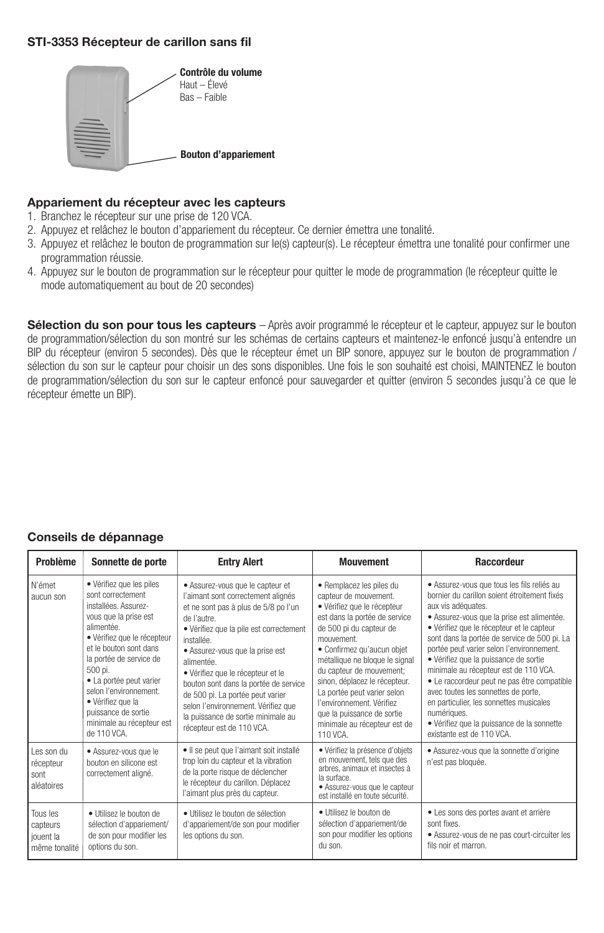### **STI-3353 Récepteur de carillon sans fil**



#### **Appariement du récepteur avec les capteurs**

- 1. Branchez le récepteur sur une prise de 120 VCA.
- 2. Appuyez et relâchez le bouton d'appariement du récepteur. Ce dernier émettra une tonalité.
- 3. Appuyez et relâchez le bouton de programmation sur le(s) capteur(s). Le récepteur émettra une tonalité pour confirmer une programmation réussie.
- 4. Appuyez sur le bouton de programmation sur le récepteur pour quitter le mode de programmation (le récepteur quitte le mode automatiquement au bout de 20 secondes)

**Sélection du son pour tous les capteurs** – Après avoir programmé le récepteur et le capteur, appuyez sur le bouton de programmation/sélection du son montré sur les schémas de certains capteurs et maintenez-le enfoncé jusqu'à entendre un BIP du récepteur (environ 5 secondes). Dès que le récepteur émet un BIP sonore, appuyez sur le bouton de programmation / sélection du son sur le capteur pour choisir un des sons disponibles. Une fois le son souhaité est choisi, MAINTENEZ le bouton de programmation/sélection du son sur le capteur enfoncé pour sauvegarder et quitter (environ 5 secondes jusqu'à ce que le récepteur émette un BIP).

### **Conseils de dépannage**

| Problème                                           | Sonnette de porte                                                                                                                                                                                                                                                                                                                                        | <b>Entry Alert</b>                                                                                                                                                                                                                                                                                                                                                                                                                                                  | <b>Mouvement</b>                                                                                                                                                                                                                                                                                                                                                                                                              | Raccordeur                                                                                                                                                                                                                                                                                                                                                                                                                                                                                                                                                                                                            |  |
|----------------------------------------------------|----------------------------------------------------------------------------------------------------------------------------------------------------------------------------------------------------------------------------------------------------------------------------------------------------------------------------------------------------------|---------------------------------------------------------------------------------------------------------------------------------------------------------------------------------------------------------------------------------------------------------------------------------------------------------------------------------------------------------------------------------------------------------------------------------------------------------------------|-------------------------------------------------------------------------------------------------------------------------------------------------------------------------------------------------------------------------------------------------------------------------------------------------------------------------------------------------------------------------------------------------------------------------------|-----------------------------------------------------------------------------------------------------------------------------------------------------------------------------------------------------------------------------------------------------------------------------------------------------------------------------------------------------------------------------------------------------------------------------------------------------------------------------------------------------------------------------------------------------------------------------------------------------------------------|--|
| N'émet<br>aucun son                                | · Vérifiez que les piles<br>sont correctement<br>installées. Assurez-<br>vous que la prise est<br>alimentée.<br>· Vérifiez que le récepteur<br>et le bouton sont dans<br>la portée de service de<br>500 pi.<br>• La portée peut varier<br>selon l'environnement.<br>• Vérifiez que la<br>puissance de sortie<br>minimale au récepteur est<br>de 110 VCA. | • Assurez-vous que le capteur et<br>l'aimant sont correctement alignés<br>et ne sont pas à plus de 5/8 po l'un<br>de l'autre.<br>· Vérifiez que la pile est correctement<br>installée.<br>• Assurez-vous que la prise est<br>alimentée.<br>· Vérifiez que le récepteur et le<br>bouton sont dans la portée de service<br>de 500 pi. La portée peut varier<br>selon l'environnement. Vérifiez que<br>la puissance de sortie minimale au<br>récepteur est de 110 VCA. | · Remplacez les piles du<br>capteur de mouvement.<br>· Vérifiez que le récepteur<br>est dans la portée de service<br>de 500 pi du capteur de<br>mouvement.<br>· Confirmez qu'aucun objet<br>métallique ne bloque le signal<br>du capteur de mouvement;<br>sinon, déplacez le récepteur.<br>La portée peut varier selon<br>l'environnement. Vérifiez<br>que la puissance de sortie<br>minimale au récepteur est de<br>110 VCA. | · Assurez-vous que tous les fils reliés au<br>bornier du carillon soient étroitement fixés<br>aux vis adéquates.<br>· Assurez-vous que la prise est alimentée.<br>· Vérifiez que le récepteur et le capteur<br>sont dans la portée de service de 500 pi. La<br>portée peut varier selon l'environnement.<br>· Vérifiez que la puissance de sortie<br>minimale au récepteur est de 110 VCA.<br>• Le raccordeur peut ne pas être compatible<br>avec toutes les sonnettes de porte,<br>en particulier, les sonnettes musicales<br>numériques.<br>· Vérifiez que la puissance de la sonnette<br>existante est de 110 VCA. |  |
| Les son du<br>récepteur<br>sont<br>aléatoires      | · Assurez-vous que le<br>bouton en silicone est<br>correctement aligné.                                                                                                                                                                                                                                                                                  | · Il se peut que l'aimant soit installé<br>trop loin du capteur et la vibration<br>de la porte risque de déclencher<br>le récepteur du carillon. Déplacez<br>l'aimant plus près du capteur.                                                                                                                                                                                                                                                                         | · Vérifiez la présence d'objets<br>en mouvement, tels que des<br>arbres, animaux et insectes à<br>la surface.<br>· Assurez-vous que le capteur<br>est installé en toute sécurité.                                                                                                                                                                                                                                             | · Assurez-vous que la sonnette d'origine<br>n'est pas bloquée.                                                                                                                                                                                                                                                                                                                                                                                                                                                                                                                                                        |  |
| Tous les<br>capteurs<br>jouent la<br>même tonalité | · Utilisez le bouton de<br>sélection d'appariement/<br>de son pour modifier les<br>options du son.                                                                                                                                                                                                                                                       | · Utilisez le bouton de sélection<br>d'appariement/de son pour modifier<br>les options du son.                                                                                                                                                                                                                                                                                                                                                                      | · Utilisez le bouton de<br>sélection d'appariement/de<br>son pour modifier les options<br>du son.                                                                                                                                                                                                                                                                                                                             | • Les sons des portes avant et arrière<br>sont fixes<br>· Assurez-vous de ne pas court-circuiter les<br>fils noir et marron.                                                                                                                                                                                                                                                                                                                                                                                                                                                                                          |  |